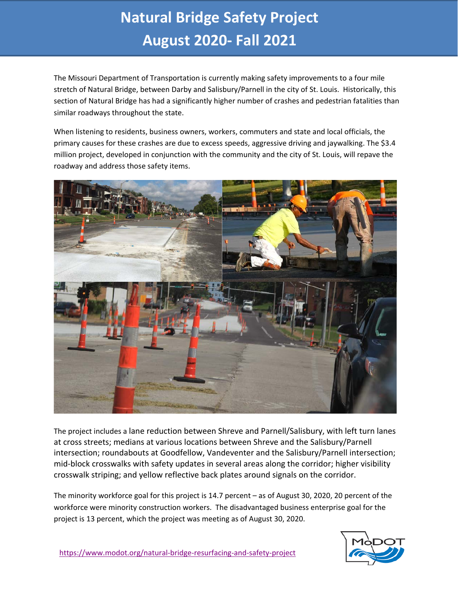## **Natural Bridge Safety Project August 2020- Fall 2021**

The Missouri Department of Transportation is currently making safety improvements to a four mile stretch of Natural Bridge, between Darby and Salisbury/Parnell in the city of St. Louis. Historically, this section of Natural Bridge has had a significantly higher number of crashes and pedestrian fatalities than similar roadways throughout the state.

When listening to residents, business owners, workers, commuters and state and local officials, the primary causes for these crashes are due to excess speeds, aggressive driving and jaywalking. The \$3.4 million project, developed in conjunction with the community and the city of St. Louis, will repave the roadway and address those safety items.



The project includes a lane reduction between Shreve and Parnell/Salisbury, with left turn lanes at cross streets; medians at various locations between Shreve and the Salisbury/Parnell intersection; roundabouts at Goodfellow, Vandeventer and the Salisbury/Parnell intersection; mid-block crosswalks with safety updates in several areas along the corridor; higher visibility crosswalk striping; and yellow reflective back plates around signals on the corridor.

The minority workforce goal for this project is 14.7 percent – as of August 30, 2020, 20 percent of the workforce were minority construction workers. The disadvantaged business enterprise goal for the project is 13 percent, which the project was meeting as of August 30, 2020.